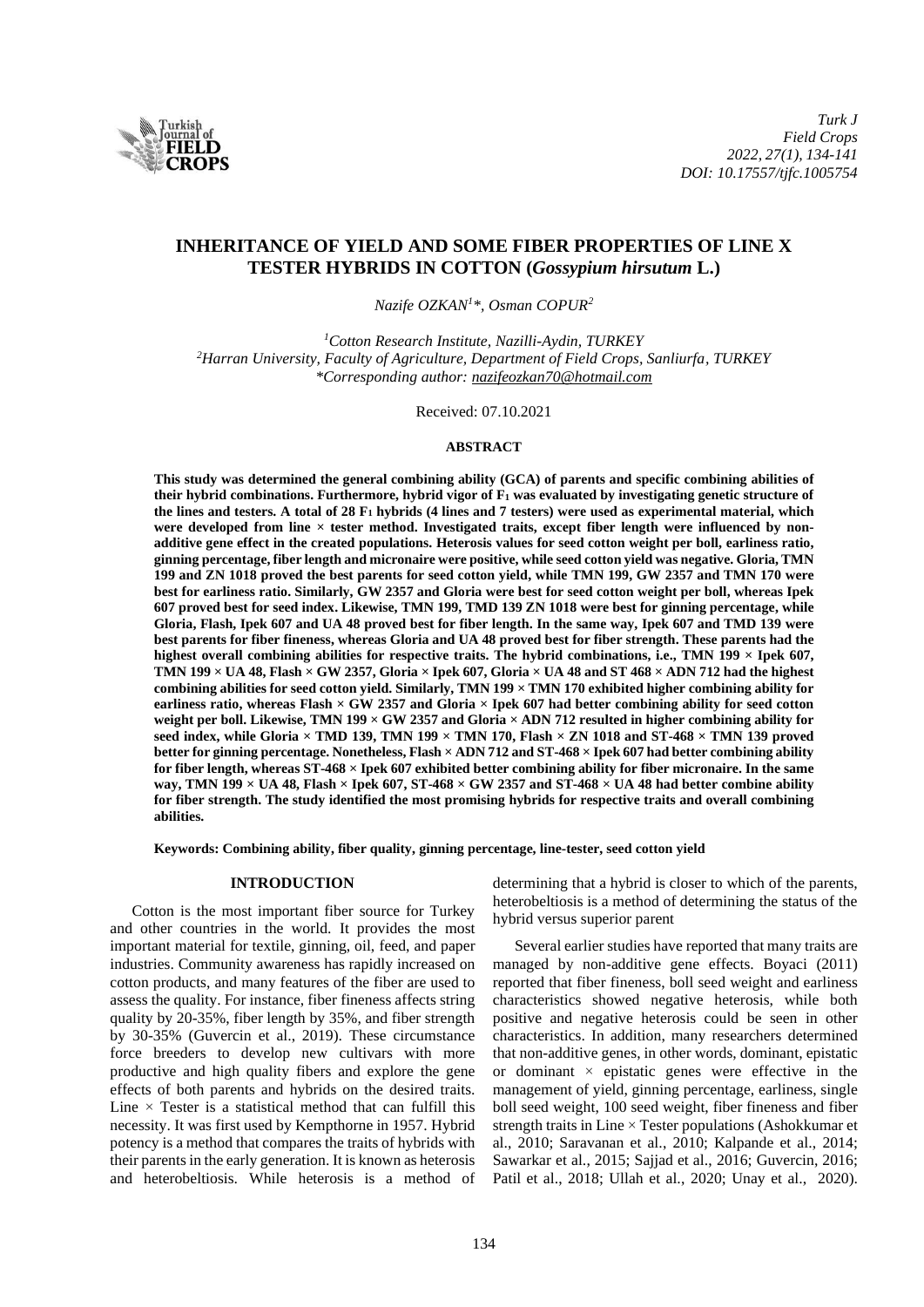

# **INHERITANCE OF YIELD AND SOME FIBER PROPERTIES OF LINE X TESTER HYBRIDS IN COTTON (***Gossypium hirsutum* **L.)**

*Nazife OZKAN<sup>1</sup>\*, Osman COPUR<sup>2</sup>*

*<sup>1</sup>Cotton Research Institute, Nazilli-Aydin, TURKEY <sup>2</sup>Harran University, Faculty of Agriculture, Department of Field Crops, Sanliurfa, TURKEY \*Corresponding author: [nazifeozkan70@hotmail.com](mailto:nazifeozkan70@hotmail.com)*

Received: 07.10.2021

#### **ABSTRACT**

**This study was determined the general combining ability (GCA) of parents and specific combining abilities of their hybrid combinations. Furthermore, hybrid vigor of F<sup>1</sup> was evaluated by investigating genetic structure of the lines and testers. A total of 28 F<sup>1</sup> hybrids (4 lines and 7 testers) were used as experimental material, which were developed from line × tester method. Investigated traits, except fiber length were influenced by nonadditive gene effect in the created populations. Heterosis values for seed cotton weight per boll, earliness ratio, ginning percentage, fiber length and micronaire were positive, while seed cotton yield was negative. Gloria, TMN 199 and ZN 1018 proved the best parents for seed cotton yield, while TMN 199, GW 2357 and TMN 170 were best for earliness ratio. Similarly, GW 2357 and Gloria were best for seed cotton weight per boll, whereas Ipek 607 proved best for seed index. Likewise, TMN 199, TMD 139 ZN 1018 were best for ginning percentage, while Gloria, Flash, Ipek 607 and UA 48 proved best for fiber length. In the same way, Ipek 607 and TMD 139 were best parents for fiber fineness, whereas Gloria and UA 48 proved best for fiber strength. These parents had the highest overall combining abilities for respective traits. The hybrid combinations, i.e., TMN 199 × Ipek 607, TMN 199 × UA 48, Flash × GW 2357, Gloria × Ipek 607, Gloria × UA 48 and ST 468 × ADN 712 had the highest combining abilities for seed cotton yield. Similarly, TMN 199 × TMN 170 exhibited higher combining ability for earliness ratio, whereas Flash × GW 2357 and Gloria × Ipek 607 had better combining ability for seed cotton weight per boll. Likewise, TMN 199 × GW 2357 and Gloria × ADN 712 resulted in higher combining ability for seed index, while Gloria × TMD 139, TMN 199 × TMN 170, Flash × ZN 1018 and ST-468 × TMN 139 proved better for ginning percentage. Nonetheless, Flash × ADN 712 and ST-468 × Ipek 607 had better combining ability for fiber length, whereas ST-468 × Ipek 607 exhibited better combining ability for fiber micronaire. In the same way, TMN 199 × UA 48, Flash × Ipek 607, ST-468 × GW 2357 and ST-468 × UA 48 had better combine ability for fiber strength. The study identified the most promising hybrids for respective traits and overall combining abilities.**

**Keywords: Combining ability, fiber quality, ginning percentage, line-tester, seed cotton yield**

#### **INTRODUCTION**

Cotton is the most important fiber source for Turkey and other countries in the world. It provides the most important material for textile, ginning, oil, feed, and paper industries. Community awareness has rapidly increased on cotton products, and many features of the fiber are used to assess the quality. For instance, fiber fineness affects string quality by 20-35%, fiber length by 35%, and fiber strength by 30-35% (Guvercin et al., 2019). These circumstance force breeders to develop new cultivars with more productive and high quality fibers and explore the gene effects of both parents and hybrids on the desired traits. Line  $\times$  Tester is a statistical method that can fulfill this necessity. It was first used by Kempthorne in 1957. Hybrid potency is a method that compares the traits of hybrids with their parents in the early generation. It is known as heterosis and heterobeltiosis. While heterosis is a method of determining that a hybrid is closer to which of the parents, heterobeltiosis is a method of determining the status of the hybrid versus superior parent

Several earlier studies have reported that many traits are managed by non-additive gene effects. Boyaci (2011) reported that fiber fineness, boll seed weight and earliness characteristics showed negative heterosis, while both positive and negative heterosis could be seen in other characteristics. In addition, many researchers determined that non-additive genes, in other words, dominant, epistatic or dominant  $\times$  epistatic genes were effective in the management of yield, ginning percentage, earliness, single boll seed weight, 100 seed weight, fiber fineness and fiber strength traits in Line × Tester populations (Ashokkumar et al., 2010; Saravanan et al., 2010; Kalpande et al., 2014; Sawarkar et al., 2015; Sajjad et al., 2016; Guvercin, 2016; Patil et al., 2018; Ullah et al., 2020; Unay et al., 2020).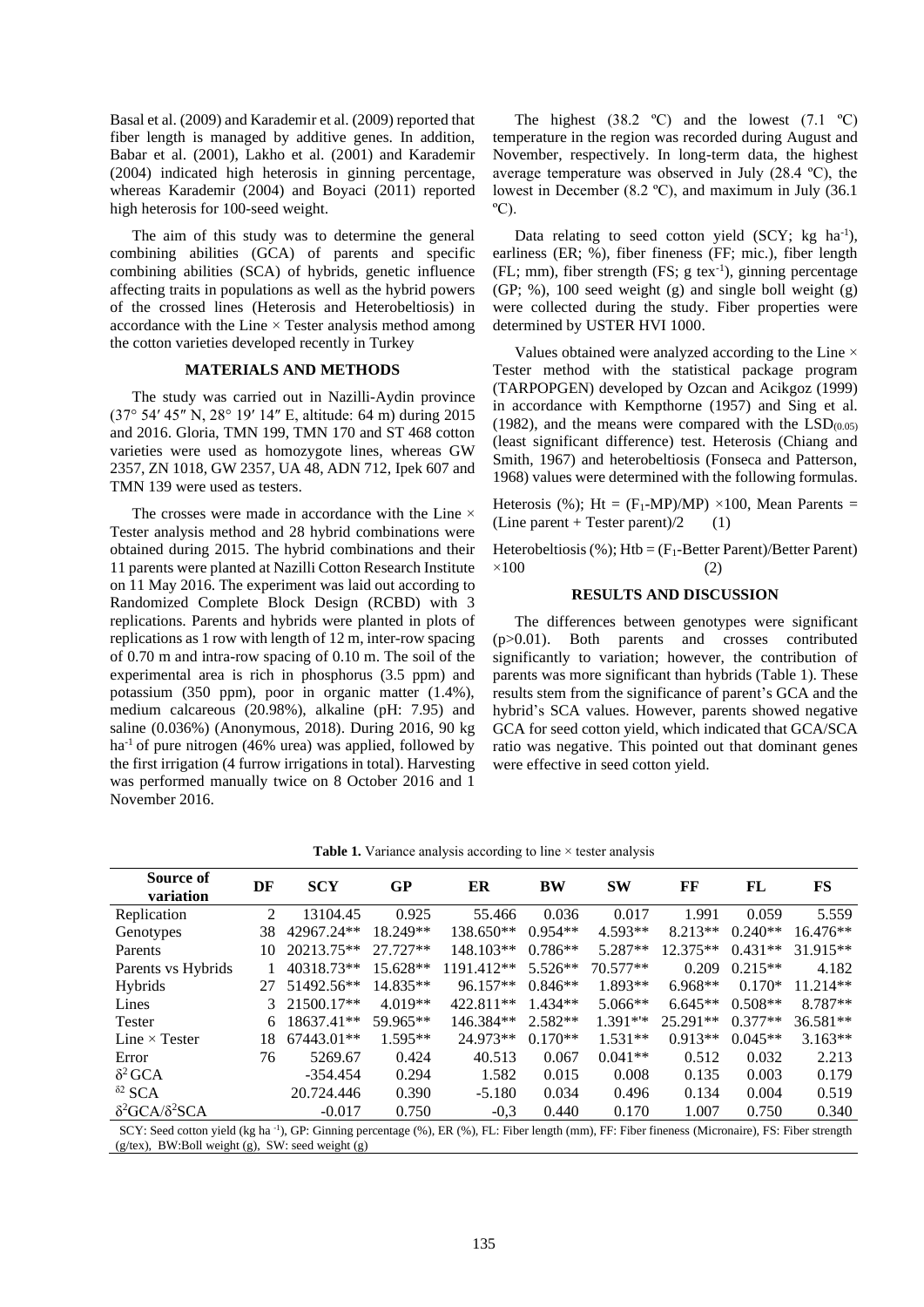Basal et al. (2009) and Karademir et al. (2009) reported that fiber length is managed by additive genes. In addition, Babar et al. (2001), Lakho et al. (2001) and Karademir (2004) indicated high heterosis in ginning percentage, whereas Karademir (2004) and Boyaci (2011) reported high heterosis for 100-seed weight.

The aim of this study was to determine the general combining abilities (GCA) of parents and specific combining abilities (SCA) of hybrids, genetic influence affecting traits in populations as well as the hybrid powers of the crossed lines (Heterosis and Heterobeltiosis) in accordance with the Line  $\times$  Tester analysis method among the cotton varieties developed recently in Turkey

#### **MATERIALS AND METHODS**

The study was carried out in Nazilli-Aydin province (37° 54′ 45″ N, 28° 19′ 14″ E, altitude: 64 m) during 2015 and 2016. Gloria, TMN 199, TMN 170 and ST 468 cotton varieties were used as homozygote lines, whereas GW 2357, ZN 1018, GW 2357, UA 48, ADN 712, Ipek 607 and TMN 139 were used as testers.

The crosses were made in accordance with the Line  $\times$ Tester analysis method and 28 hybrid combinations were obtained during 2015. The hybrid combinations and their 11 parents were planted at Nazilli Cotton Research Institute on 11 May 2016. The experiment was laid out according to Randomized Complete Block Design (RCBD) with 3 replications. Parents and hybrids were planted in plots of replications as 1 row with length of 12 m, inter-row spacing of 0.70 m and intra-row spacing of 0.10 m. The soil of the experimental area is rich in phosphorus (3.5 ppm) and potassium (350 ppm), poor in organic matter (1.4%), medium calcareous (20.98%), alkaline (pH: 7.95) and saline (0.036%) (Anonymous, 2018). During 2016, 90 kg  $ha^{-1}$  of pure nitrogen (46% urea) was applied, followed by the first irrigation (4 furrow irrigations in total). Harvesting was performed manually twice on 8 October 2016 and 1 November 2016.

The highest  $(38.2 \text{ °C})$  and the lowest  $(7.1 \text{ °C})$ temperature in the region was recorded during August and November, respectively. In long-term data, the highest average temperature was observed in July (28.4 ºC), the lowest in December (8.2 ºC), and maximum in July (36.1  $^{\circ}$ C).

Data relating to seed cotton yield (SCY; kg ha<sup>-1</sup>), earliness (ER; %), fiber fineness (FF; mic.), fiber length (FL; mm), fiber strength (FS; g tex-1 ), ginning percentage (GP; %), 100 seed weight (g) and single boll weight (g) were collected during the study. Fiber properties were determined by USTER HVI 1000.

Values obtained were analyzed according to the Line × Tester method with the statistical package program (TARPOPGEN) developed by Ozcan and Acikgoz (1999) in accordance with Kempthorne (1957) and Sing et al. (1982), and the means were compared with the  $LSD<sub>(0.05)</sub>$ (least significant difference) test. Heterosis (Chiang and Smith, 1967) and heterobeltiosis (Fonseca and Patterson, 1968) values were determined with the following formulas.

Heterosis (%); Ht =  $(F_1-MP)/MP$ ) ×100, Mean Parents = (Line parent + Tester parent)/2  $(1)$ 

Heterobeltiosis (%); Htb =  $(F_1-Better~Parent)/Better~Parent)$  $\times 100$  (2)

# **RESULTS AND DISCUSSION**

The differences between genotypes were significant (p>0.01). Both parents and crosses contributed significantly to variation; however, the contribution of parents was more significant than hybrids (Table 1). These results stem from the significance of parent's GCA and the hybrid's SCA values. However, parents showed negative GCA for seed cotton yield, which indicated that GCA/SCA ratio was negative. This pointed out that dominant genes were effective in seed cotton yield.

| Source of<br>variation         | DF                                                                                                                                                            | <b>SCY</b> | GP         | ER          | <b>BW</b> | <b>SW</b> | FF         | FL        | <b>FS</b>  |  |  |
|--------------------------------|---------------------------------------------------------------------------------------------------------------------------------------------------------------|------------|------------|-------------|-----------|-----------|------------|-----------|------------|--|--|
| Replication                    | $\mathfrak{D}$                                                                                                                                                | 13104.45   | 0.925      | 55.466      | 0.036     | 0.017     | 1.991      | 0.059     | 5.559      |  |  |
| Genotypes                      | 38                                                                                                                                                            | 42967.24** | 18.249**   | $138.650**$ | $0.954**$ | $4.593**$ | $8.213**$  | $0.240**$ | $16.476**$ |  |  |
| Parents                        | 10                                                                                                                                                            | 20213.75** | $27.727**$ | $148.103**$ | $0.786**$ | $5.287**$ | $12.375**$ | $0.431**$ | $31.915**$ |  |  |
| Parents vs Hybrids             |                                                                                                                                                               | 40318.73** | $15.628**$ | 1191.412**  | $5.526**$ | 70.577**  | 0.209      | $0.215**$ | 4.182      |  |  |
| Hybrids                        | 27                                                                                                                                                            | 51492.56** | 14.835**   | $96.157**$  | $0.846**$ | 1.893**   | $6.968**$  | $0.170*$  | $11.214**$ |  |  |
| Lines                          | $\mathcal{F}$                                                                                                                                                 | 21500.17** | $4.019**$  | 422.811**   | $1.434**$ | $5.066**$ | $6.645**$  | $0.508**$ | 8.787**    |  |  |
| <b>Tester</b>                  | 6                                                                                                                                                             | 18637.41** | 59.965**   | 146.384**   | $2.582**$ | $1.391**$ | 25.291**   | $0.377**$ | 36.581**   |  |  |
| Line $\times$ Tester           | 18                                                                                                                                                            | 67443.01** | $1.595**$  | 24.973**    | $0.170**$ | $1.531**$ | $0.913**$  | $0.045**$ | $3.163**$  |  |  |
| Error                          | 76                                                                                                                                                            | 5269.67    | 0.424      | 40.513      | 0.067     | $0.041**$ | 0.512      | 0.032     | 2.213      |  |  |
| $\delta^2$ GCA                 |                                                                                                                                                               | $-354.454$ | 0.294      | 1.582       | 0.015     | 0.008     | 0.135      | 0.003     | 0.179      |  |  |
| ${}^{\delta 2}$ SCA            |                                                                                                                                                               | 20.724.446 | 0.390      | $-5.180$    | 0.034     | 0.496     | 0.134      | 0.004     | 0.519      |  |  |
| $\delta^2$ GCA/ $\delta^2$ SCA |                                                                                                                                                               | $-0.017$   | 0.750      | $-0.3$      | 0.440     | 0.170     | 1.007      | 0.750     | 0.340      |  |  |
|                                | SCY: Seed cotton yield (kg ha <sup>-1</sup> ), GP: Ginning percentage (%), ER (%), FL: Fiber length (mm), FF: Fiber fineness (Micronaire), FS: Fiber strength |            |            |             |           |           |            |           |            |  |  |

**Table 1.** Variance analysis according to line  $\times$  tester analysis

SCY: Seed cotton yield (kg ha<sup>-1</sup> ), GP: Ginning percentage (%), ER (%), FL: Fiber length (mm), FF: Fiber fineness (Micronaire), FS: Fiber strength  $(g$ /tex), BW:Boll weight  $(g)$ , SW: seed weight  $(g)$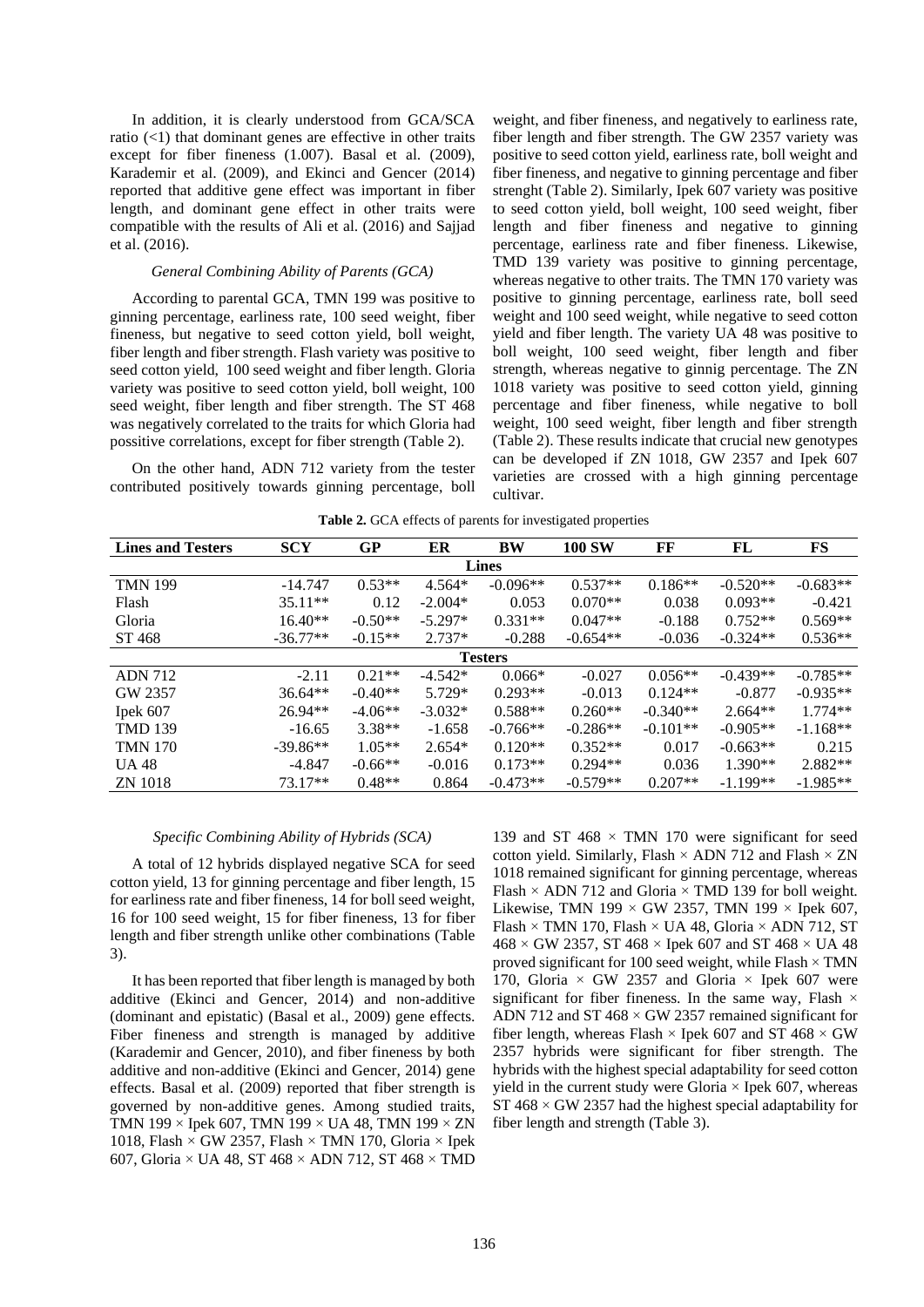In addition, it is clearly understood from GCA/SCA ratio  $(\leq 1)$  that dominant genes are effective in other traits except for fiber fineness (1.007). Basal et al. (2009), Karademir et al. (2009), and Ekinci and Gencer (2014) reported that additive gene effect was important in fiber length, and dominant gene effect in other traits were compatible with the results of Ali et al. (2016) and Sajjad et al. (2016).

## *General Combining Ability of Parents (GCA)*

According to parental GCA, TMN 199 was positive to ginning percentage, earliness rate, 100 seed weight, fiber fineness, but negative to seed cotton yield, boll weight, fiber length and fiber strength. Flash variety was positive to seed cotton yield, 100 seed weight and fiber length. Gloria variety was positive to seed cotton yield, boll weight, 100 seed weight, fiber length and fiber strength. The ST 468 was negatively correlated to the traits for which Gloria had possitive correlations, except for fiber strength (Table 2).

On the other hand, ADN 712 variety from the tester contributed positively towards ginning percentage, boll weight, and fiber fineness, and negatively to earliness rate, fiber length and fiber strength. The GW 2357 variety was positive to seed cotton yield, earliness rate, boll weight and fiber fineness, and negative to ginning percentage and fiber strenght (Table 2). Similarly, Ipek 607 variety was positive to seed cotton yield, boll weight, 100 seed weight, fiber length and fiber fineness and negative to ginning percentage, earliness rate and fiber fineness. Likewise, TMD 139 variety was positive to ginning percentage, whereas negative to other traits. The TMN 170 variety was positive to ginning percentage, earliness rate, boll seed weight and 100 seed weight, while negative to seed cotton yield and fiber length. The variety UA 48 was positive to boll weight, 100 seed weight, fiber length and fiber strength, whereas negative to ginnig percentage. The ZN 1018 variety was positive to seed cotton yield, ginning percentage and fiber fineness, while negative to boll weight, 100 seed weight, fiber length and fiber strength (Table 2). These results indicate that crucial new genotypes can be developed if ZN 1018, GW 2357 and Ipek 607 varieties are crossed with a high ginning percentage cultivar.

| Table 2. GCA effects of parents for investigated properties |  |  |  |
|-------------------------------------------------------------|--|--|--|
|-------------------------------------------------------------|--|--|--|

| <b>Lines and Testers</b> | <b>SCY</b> | GP        | ER        | <b>BW</b>  | <b>100 SW</b> | FF         | FL         | FS         |  |  |
|--------------------------|------------|-----------|-----------|------------|---------------|------------|------------|------------|--|--|
| <b>Lines</b>             |            |           |           |            |               |            |            |            |  |  |
| <b>TMN 199</b>           | $-14.747$  | $0.53**$  | $4.564*$  | $-0.096**$ | $0.537**$     | $0.186**$  | $-0.520**$ | $-0.683**$ |  |  |
| Flash                    | $35.11**$  | 0.12      | $-2.004*$ | 0.053      | $0.070**$     | 0.038      | $0.093**$  | $-0.421$   |  |  |
| Gloria                   | $16.40**$  | $-0.50**$ | $-5.297*$ | $0.331**$  | $0.047**$     | $-0.188$   | $0.752**$  | $0.569**$  |  |  |
| ST 468                   | $-36.77**$ | $-0.15**$ | $2.737*$  | $-0.288$   | $-0.654**$    | $-0.036$   | $-0.324**$ | $0.536**$  |  |  |
| <b>Testers</b>           |            |           |           |            |               |            |            |            |  |  |
| <b>ADN 712</b>           | $-2.11$    | $0.21**$  | $-4.542*$ | $0.066*$   | $-0.027$      | $0.056**$  | $-0.439**$ | $-0.785**$ |  |  |
| GW 2357                  | $36.64**$  | $-0.40**$ | 5.729*    | $0.293**$  | $-0.013$      | $0.124**$  | $-0.877$   | $-0.935**$ |  |  |
| Ipek 607                 | $26.94**$  | $-4.06**$ | $-3.032*$ | $0.588**$  | $0.260**$     | $-0.340**$ | $2.664**$  | $1.774**$  |  |  |
| <b>TMD 139</b>           | $-16.65$   | $3.38**$  | $-1.658$  | $-0.766**$ | $-0.286**$    | $-0.101**$ | $-0.905**$ | $-1.168**$ |  |  |
| <b>TMN 170</b>           | $-39.86**$ | $1.05**$  | $2.654*$  | $0.120**$  | $0.352**$     | 0.017      | $-0.663**$ | 0.215      |  |  |
| <b>UA 48</b>             | $-4.847$   | $-0.66**$ | $-0.016$  | $0.173**$  | $0.294**$     | 0.036      | $1.390**$  | 2.882**    |  |  |
| <b>ZN</b> 1018           | 73.17**    | $0.48**$  | 0.864     | $-0.473**$ | $-0.579**$    | $0.207**$  | $-1.199**$ | $-1.985**$ |  |  |

## *Specific Combining Ability of Hybrids (SCA)*

A total of 12 hybrids displayed negative SCA for seed cotton yield, 13 for ginning percentage and fiber length, 15 for earliness rate and fiber fineness, 14 for boll seed weight, 16 for 100 seed weight, 15 for fiber fineness, 13 for fiber length and fiber strength unlike other combinations (Table 3).

It has been reported that fiber length is managed by both additive (Ekinci and Gencer, 2014) and non-additive (dominant and epistatic) (Basal et al., 2009) gene effects. Fiber fineness and strength is managed by additive (Karademir and Gencer, 2010), and fiber fineness by both additive and non-additive (Ekinci and Gencer, 2014) gene effects. Basal et al. (2009) reported that fiber strength is governed by non-additive genes. Among studied traits, TMN 199  $\times$  Ipek 607, TMN 199  $\times$  UA 48, TMN 199  $\times$  ZN 1018, Flash  $\times$  GW 2357, Flash  $\times$  TMN 170, Gloria  $\times$  Ipek 607, Gloria × UA 48, ST 468 × ADN 712, ST 468 × TMD 139 and ST 468  $\times$  TMN 170 were significant for seed cotton yield. Similarly, Flash  $\times$  ADN 712 and Flash  $\times$  ZN 1018 remained significant for ginning percentage, whereas Flash  $\times$  ADN 712 and Gloria  $\times$  TMD 139 for boll weight. Likewise, TMN 199  $\times$  GW 2357, TMN 199  $\times$  Ipek 607, Flash  $\times$  TMN 170, Flash  $\times$  UA 48, Gloria  $\times$  ADN 712, ST  $468 \times$  GW 2357, ST 468  $\times$  Ipek 607 and ST 468  $\times$  UA 48 proved significant for 100 seed weight, while Flash  $\times$  TMN 170, Gloria  $\times$  GW 2357 and Gloria  $\times$  Ipek 607 were significant for fiber fineness. In the same way, Flash  $\times$ ADN 712 and ST  $468 \times$  GW 2357 remained significant for fiber length, whereas Flash  $\times$  Ipek 607 and ST 468  $\times$  GW 2357 hybrids were significant for fiber strength. The hybrids with the highest special adaptability for seed cotton yield in the current study were Gloria  $\times$  Ipek 607, whereas  $ST 468 \times GW 2357$  had the highest special adaptability for fiber length and strength (Table 3).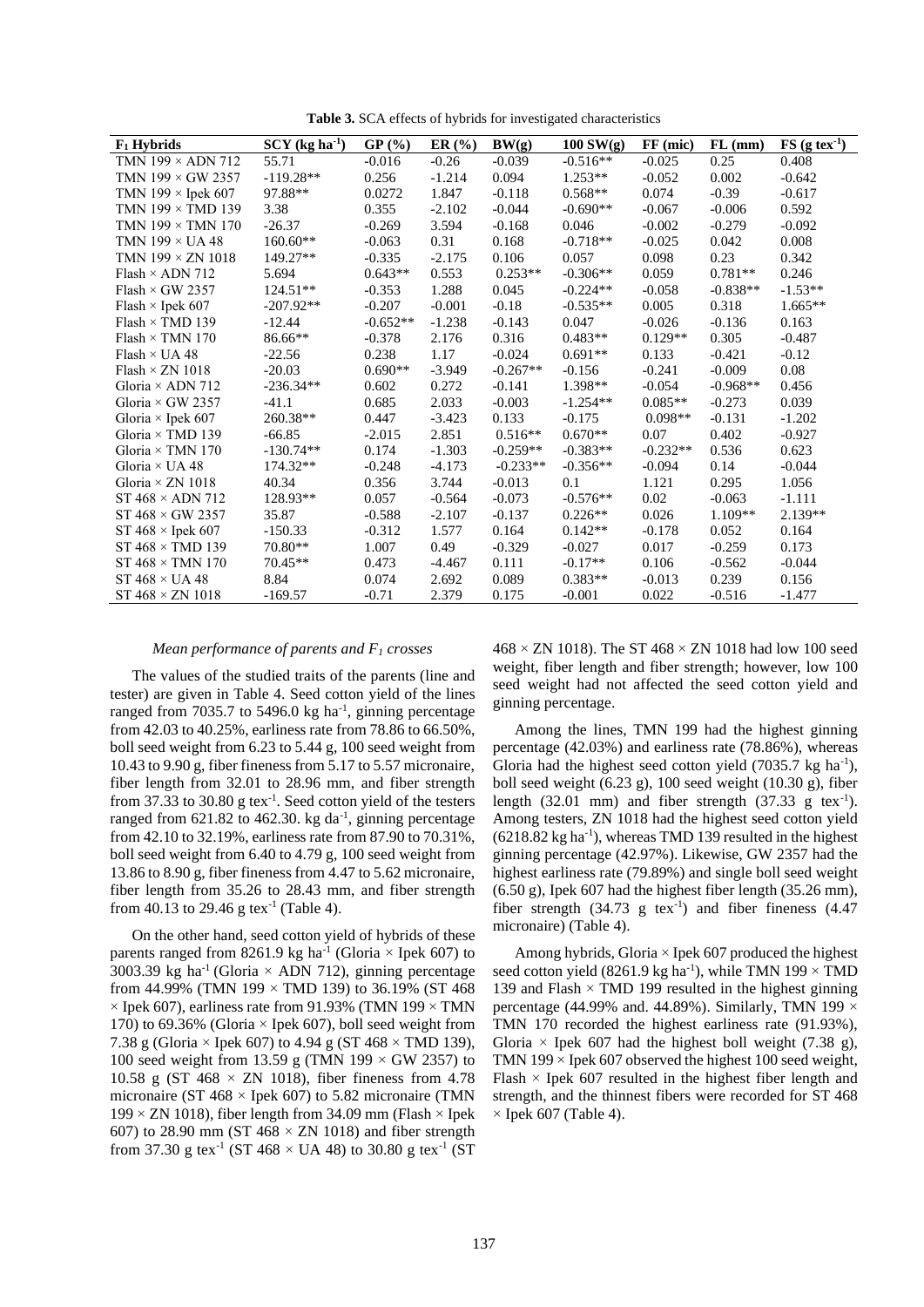**Table 3.** SCA effects of hybrids for investigated characteristics

| $F_1$ Hybrids              | $SCY$ (kg ha <sup>-1</sup> ) | GP(%)      | ER(%)    | BW(g)      | $100 \text{ SW(g)}$ | FF (mic)   | $FL$ (mm)  | $FS$ (g tex <sup>-1</sup> ) |
|----------------------------|------------------------------|------------|----------|------------|---------------------|------------|------------|-----------------------------|
| TMN $199 \times$ ADN 712   | 55.71                        | $-0.016$   | $-0.26$  | $-0.039$   | $-0.516**$          | $-0.025$   | 0.25       | 0.408                       |
| TMN $199 \times$ GW 2357   | $-119.28**$                  | 0.256      | $-1.214$ | 0.094      | $1.253**$           | $-0.052$   | 0.002      | $-0.642$                    |
| TMN 199 $\times$ Ipek 607  | 97.88**                      | 0.0272     | 1.847    | $-0.118$   | $0.568**$           | 0.074      | $-0.39$    | $-0.617$                    |
| TMN $199 \times$ TMD $139$ | 3.38                         | 0.355      | $-2.102$ | $-0.044$   | $-0.690**$          | $-0.067$   | $-0.006$   | 0.592                       |
| TMN $199 \times$ TMN $170$ | $-26.37$                     | $-0.269$   | 3.594    | $-0.168$   | 0.046               | $-0.002$   | $-0.279$   | $-0.092$                    |
| TMN $199 \times UA48$      | $160.60**$                   | $-0.063$   | 0.31     | 0.168      | $-0.718**$          | $-0.025$   | 0.042      | 0.008                       |
| TMN $199 \times ZN$ 1018   | 149.27**                     | $-0.335$   | $-2.175$ | 0.106      | 0.057               | 0.098      | 0.23       | 0.342                       |
| $Flash \times ADN 712$     | 5.694                        | $0.643**$  | 0.553    | $0.253**$  | $-0.306**$          | 0.059      | $0.781**$  | 0.246                       |
| Flash $\times$ GW 2357     | 124.51**                     | $-0.353$   | 1.288    | 0.045      | $-0.224**$          | $-0.058$   | $-0.838**$ | $-1.53**$                   |
| Flash $\times$ Ipek 607    | $-207.92**$                  | $-0.207$   | $-0.001$ | $-0.18$    | $-0.535**$          | 0.005      | 0.318      | $1.665**$                   |
| $Flash \times TMD$ 139     | $-12.44$                     | $-0.652**$ | $-1.238$ | $-0.143$   | 0.047               | $-0.026$   | $-0.136$   | 0.163                       |
| Flash $\times$ TMN 170     | 86.66**                      | $-0.378$   | 2.176    | 0.316      | $0.483**$           | $0.129**$  | 0.305      | $-0.487$                    |
| Flash $\times$ UA 48       | $-22.56$                     | 0.238      | 1.17     | $-0.024$   | $0.691**$           | 0.133      | $-0.421$   | $-0.12$                     |
| Flash $\times$ ZN 1018     | $-20.03$                     | $0.690**$  | $-3.949$ | $-0.267**$ | $-0.156$            | $-0.241$   | $-0.009$   | 0.08                        |
| Gloria $\times$ ADN 712    | $-236.34**$                  | 0.602      | 0.272    | $-0.141$   | 1.398**             | $-0.054$   | $-0.968**$ | 0.456                       |
| Gloria $\times$ GW 2357    | $-41.1$                      | 0.685      | 2.033    | $-0.003$   | $-1.254**$          | $0.085**$  | $-0.273$   | 0.039                       |
| Gloria $\times$ Ipek 607   | 260.38**                     | 0.447      | $-3.423$ | 0.133      | $-0.175$            | $0.098**$  | $-0.131$   | $-1.202$                    |
| Gloria $\times$ TMD 139    | $-66.85$                     | $-2.015$   | 2.851    | $0.516**$  | $0.670**$           | 0.07       | 0.402      | $-0.927$                    |
| Gloria $\times$ TMN 170    | $-130.74**$                  | 0.174      | $-1.303$ | $-0.259**$ | $-0.383**$          | $-0.232**$ | 0.536      | 0.623                       |
| Gloria $\times$ UA 48      | 174.32**                     | $-0.248$   | $-4.173$ | $-0.233**$ | $-0.356**$          | $-0.094$   | 0.14       | $-0.044$                    |
| Gloria $\times$ ZN 1018    | 40.34                        | 0.356      | 3.744    | $-0.013$   | 0.1                 | 1.121      | 0.295      | 1.056                       |
| ST $468 \times$ ADN 712    | 128.93**                     | 0.057      | $-0.564$ | $-0.073$   | $-0.576**$          | 0.02       | $-0.063$   | $-1.111$                    |
| ST $468 \times$ GW 2357    | 35.87                        | $-0.588$   | $-2.107$ | $-0.137$   | $0.226**$           | 0.026      | $1.109**$  | $2.139**$                   |
| ST $468 \times$ Ipek 607   | $-150.33$                    | $-0.312$   | 1.577    | 0.164      | $0.142**$           | $-0.178$   | 0.052      | 0.164                       |
| ST $468 \times$ TMD 139    | $70.80**$                    | 1.007      | 0.49     | $-0.329$   | $-0.027$            | 0.017      | $-0.259$   | 0.173                       |
| ST $468 \times TMN$ 170    | $70.45**$                    | 0.473      | $-4.467$ | 0.111      | $-0.17**$           | 0.106      | $-0.562$   | $-0.044$                    |
| ST $468 \times UA48$       | 8.84                         | 0.074      | 2.692    | 0.089      | $0.383**$           | $-0.013$   | 0.239      | 0.156                       |
| $ST 468 \times ZN 1018$    | $-169.57$                    | $-0.71$    | 2.379    | 0.175      | $-0.001$            | 0.022      | $-0.516$   | $-1.477$                    |

#### *Mean performance of parents and F<sup>1</sup> crosses*

The values of the studied traits of the parents (line and tester) are given in Table 4. Seed cotton yield of the lines ranged from 7035.7 to 5496.0 kg ha<sup>-1</sup>, ginning percentage from 42.03 to 40.25%, earliness rate from 78.86 to 66.50%, boll seed weight from 6.23 to 5.44 g, 100 seed weight from 10.43 to 9.90 g, fiber fineness from 5.17 to 5.57 micronaire, fiber length from 32.01 to 28.96 mm, and fiber strength from 37.33 to 30.80 g tex $^{-1}$ . Seed cotton yield of the testers ranged from 621.82 to 462.30. kg da<sup>-1</sup>, ginning percentage from 42.10 to 32.19%, earliness rate from 87.90 to 70.31%, boll seed weight from 6.40 to 4.79 g, 100 seed weight from 13.86 to 8.90 g, fiber fineness from 4.47 to 5.62 micronaire, fiber length from 35.26 to 28.43 mm, and fiber strength from 40.13 to 29.46 g tex<sup>-1</sup> (Table 4).

On the other hand, seed cotton yield of hybrids of these parents ranged from 8261.9 kg ha<sup>-1</sup> (Gloria  $\times$  Ipek 607) to 3003.39 kg ha<sup>-1</sup> (Gloria  $\times$  ADN 712), ginning percentage from 44.99% (TMN 199  $\times$  TMD 139) to 36.19% (ST 468  $\times$  Ipek 607), earliness rate from 91.93% (TMN 199  $\times$  TMN 170) to 69.36% (Gloria  $\times$  Ipek 607), boll seed weight from 7.38 g (Gloria  $\times$  Ipek 607) to 4.94 g (ST 468  $\times$  TMD 139), 100 seed weight from 13.59 g (TMN 199  $\times$  GW 2357) to 10.58 g (ST 468  $\times$  ZN 1018), fiber fineness from 4.78 micronaire (ST 468  $\times$  Ipek 607) to 5.82 micronaire (TMN  $199 \times ZN$  1018), fiber length from 34.09 mm (Flash  $\times$  Ipek 607) to 28.90 mm (ST 468  $\times$  ZN 1018) and fiber strength from 37.30 g tex<sup>-1</sup> (ST 468  $\times$  UA 48) to 30.80 g tex<sup>-1</sup> (ST  $468 \times ZN$  1018). The ST  $468 \times ZN$  1018 had low 100 seed weight, fiber length and fiber strength; however, low 100 seed weight had not affected the seed cotton yield and ginning percentage.

Among the lines, TMN 199 had the highest ginning percentage (42.03%) and earliness rate (78.86%), whereas Gloria had the highest seed cotton yield  $(7035.7 \text{ kg ha}^{-1})$ , boll seed weight  $(6.23 \text{ g})$ , 100 seed weight  $(10.30 \text{ g})$ , fiber length  $(32.01 \text{ mm})$  and fiber strength  $(37.33 \text{ g } \text{tex}^{-1})$ . Among testers, ZN 1018 had the highest seed cotton yield  $(6218.82 \text{ kg} \text{ ha}^{-1})$ , whereas TMD 139 resulted in the highest ginning percentage (42.97%). Likewise, GW 2357 had the highest earliness rate (79.89%) and single boll seed weight (6.50 g), Ipek 607 had the highest fiber length (35.26 mm), fiber strength  $(34.73 \text{ g} \text{tex}^{-1})$  and fiber fineness  $(4.47 \text{ m})$ micronaire) (Table 4).

Among hybrids, Gloria  $\times$  Ipek 607 produced the highest seed cotton yield (8261.9 kg ha<sup>-1</sup>), while TMN 199  $\times$  TMD 139 and Flash  $\times$  TMD 199 resulted in the highest ginning percentage (44.99% and. 44.89%). Similarly, TMN 199  $\times$ TMN 170 recorded the highest earliness rate (91.93%), Gloria  $\times$  Ipek 607 had the highest boll weight (7.38 g), TMN 199  $\times$  Ipek 607 observed the highest 100 seed weight, Flash  $\times$  Ipek 607 resulted in the highest fiber length and strength, and the thinnest fibers were recorded for ST 468  $\times$  Ipek 607 (Table 4).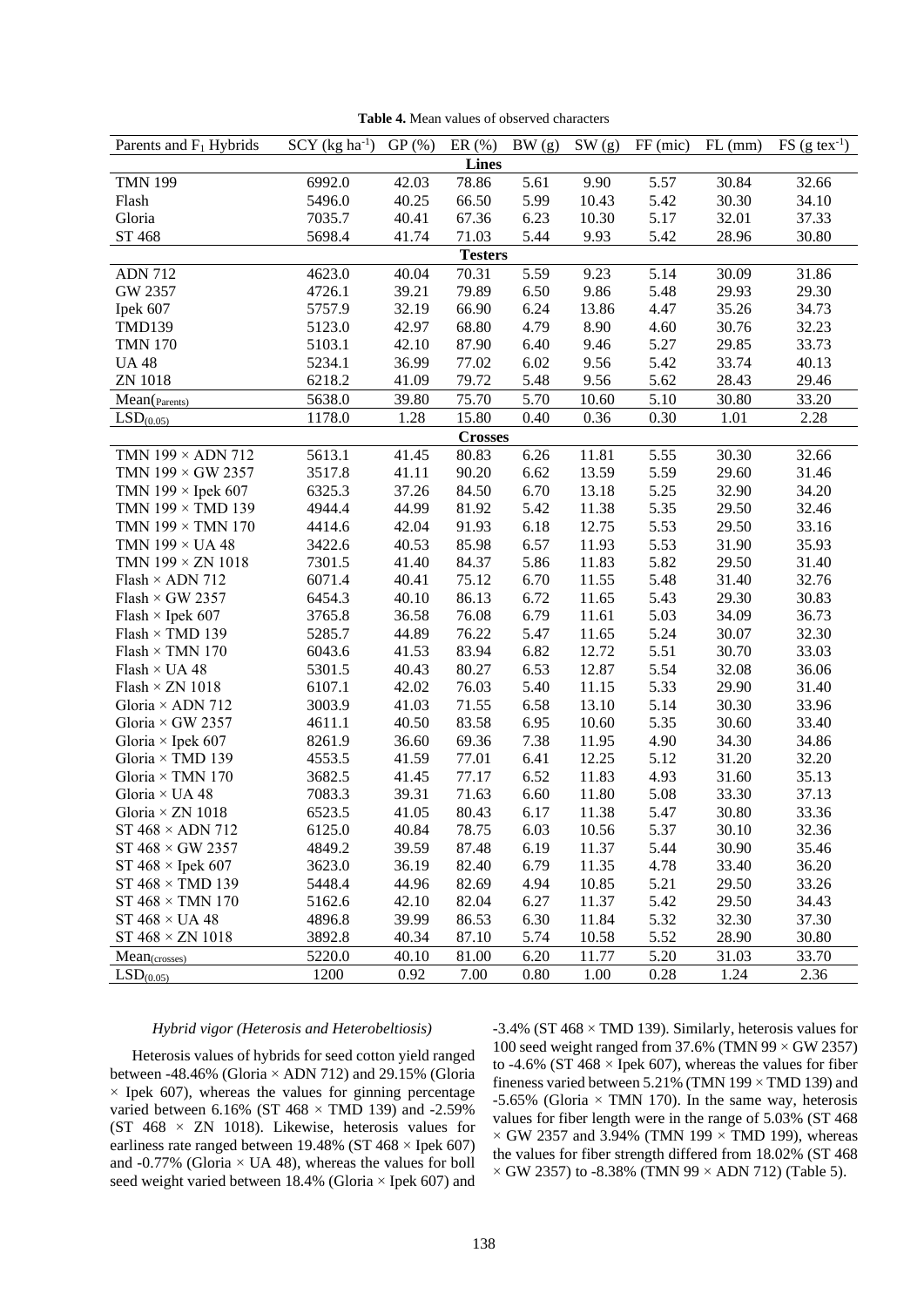| <b>Lines</b>                                                                                                                                                             |                |  |  |  |  |  |  |  |  |  |  |
|--------------------------------------------------------------------------------------------------------------------------------------------------------------------------|----------------|--|--|--|--|--|--|--|--|--|--|
| 42.03<br><b>TMN 199</b><br>6992.0<br>78.86<br>5.61<br>9.90<br>5.57<br>30.84                                                                                              | 32.66          |  |  |  |  |  |  |  |  |  |  |
| 5496.0<br>40.25<br>66.50<br>5.99<br>10.43<br>5.42<br>30.30<br>Flash                                                                                                      | 34.10          |  |  |  |  |  |  |  |  |  |  |
| 40.41<br>6.23<br>5.17<br>32.01<br>Gloria<br>7035.7<br>67.36<br>10.30                                                                                                     | 37.33          |  |  |  |  |  |  |  |  |  |  |
| ST 468<br>5698.4<br>41.74<br>71.03<br>5.44<br>9.93<br>5.42<br>28.96                                                                                                      | 30.80          |  |  |  |  |  |  |  |  |  |  |
| <b>Testers</b>                                                                                                                                                           |                |  |  |  |  |  |  |  |  |  |  |
| 5.59<br>4623.0<br>40.04<br>70.31<br>9.23<br>5.14<br>30.09<br><b>ADN 712</b>                                                                                              | 31.86          |  |  |  |  |  |  |  |  |  |  |
| 39.21<br>79.89<br>9.86<br>5.48<br>GW 2357<br>4726.1<br>6.50<br>29.93                                                                                                     | 29.30          |  |  |  |  |  |  |  |  |  |  |
| 5757.9<br>32.19<br>66.90<br>6.24<br>13.86<br>4.47<br>35.26<br>Ipek 607                                                                                                   | 34.73          |  |  |  |  |  |  |  |  |  |  |
| <b>TMD139</b><br>5123.0<br>42.97<br>68.80<br>4.79<br>8.90<br>4.60<br>30.76                                                                                               | 32.23          |  |  |  |  |  |  |  |  |  |  |
| 5.27<br><b>TMN 170</b><br>5103.1<br>42.10<br>87.90<br>6.40<br>9.46<br>29.85                                                                                              | 33.73          |  |  |  |  |  |  |  |  |  |  |
| 5234.1<br>36.99<br>77.02<br>6.02<br>9.56<br>5.42<br>33.74<br><b>UA 48</b>                                                                                                | 40.13          |  |  |  |  |  |  |  |  |  |  |
| 6218.2<br>79.72<br>9.56<br>5.62<br>28.43<br><b>ZN 1018</b><br>41.09<br>5.48                                                                                              | 29.46          |  |  |  |  |  |  |  |  |  |  |
| 5638.0<br>39.80<br>75.70<br>5.70<br>5.10<br>10.60<br>30.80<br>Mean( <sub>Parents</sub> )                                                                                 | 33.20          |  |  |  |  |  |  |  |  |  |  |
| 1178.0<br>1.28<br>15.80<br>0.30<br>LSD <sub>(0.05)</sub><br>0.40<br>0.36<br>1.01                                                                                         | 2.28           |  |  |  |  |  |  |  |  |  |  |
| <b>Crosses</b>                                                                                                                                                           |                |  |  |  |  |  |  |  |  |  |  |
| 5613.1<br>6.26<br>5.55<br>TMN $199 \times$ ADN 712<br>41.45<br>80.83<br>11.81<br>30.30                                                                                   | 32.66          |  |  |  |  |  |  |  |  |  |  |
| TMN $199 \times$ GW 2357<br>3517.8<br>90.20<br>6.62<br>13.59<br>5.59<br>29.60<br>41.11                                                                                   | 31.46          |  |  |  |  |  |  |  |  |  |  |
| 5.25<br>TMN $199 \times$ Ipek 607<br>37.26<br>84.50<br>6.70<br>13.18<br>32.90<br>6325.3                                                                                  | 34.20          |  |  |  |  |  |  |  |  |  |  |
| TMN 199 × TMD 139<br>4944.4<br>44.99<br>81.92<br>5.42<br>11.38<br>5.35<br>29.50                                                                                          | 32.46          |  |  |  |  |  |  |  |  |  |  |
| TMN $199 \times$ TMN $170$<br>4414.6<br>42.04<br>91.93<br>6.18<br>12.75<br>5.53<br>29.50                                                                                 | 33.16          |  |  |  |  |  |  |  |  |  |  |
| 5.53<br>TMN 199 × UA 48<br>3422.6<br>40.53<br>85.98<br>6.57<br>11.93<br>31.90                                                                                            | 35.93          |  |  |  |  |  |  |  |  |  |  |
| 5.82<br>TMN $199 \times ZN$ $1018$<br>7301.5<br>41.40<br>84.37<br>5.86<br>11.83<br>29.50                                                                                 | 31.40          |  |  |  |  |  |  |  |  |  |  |
| Flash $\times$ ADN 712<br>40.41<br>75.12<br>6.70<br>5.48<br>31.40<br>6071.4<br>11.55                                                                                     | 32.76          |  |  |  |  |  |  |  |  |  |  |
| Flash $\times$ GW 2357<br>40.10<br>86.13<br>6.72<br>5.43<br>29.30<br>6454.3<br>11.65                                                                                     | 30.83          |  |  |  |  |  |  |  |  |  |  |
| Flash $\times$ Ipek 607<br>36.58<br>76.08<br>6.79<br>5.03<br>34.09<br>3765.8<br>11.61                                                                                    | 36.73          |  |  |  |  |  |  |  |  |  |  |
| $Flash \times TMD$ 139<br>5285.7<br>44.89<br>76.22<br>5.47<br>5.24<br>30.07<br>11.65                                                                                     | 32.30          |  |  |  |  |  |  |  |  |  |  |
| 41.53<br>83.94<br>6.82<br>12.72<br>5.51<br>30.70<br>Flash $\times$ TMN 170<br>6043.6                                                                                     | 33.03          |  |  |  |  |  |  |  |  |  |  |
| 5301.5<br>40.43<br>80.27<br>6.53<br>12.87<br>5.54<br>32.08<br>$Flash \times UA 48$                                                                                       | 36.06          |  |  |  |  |  |  |  |  |  |  |
| 42.02<br>76.03<br>5.40<br>11.15<br>5.33<br>29.90<br>$Flash \times ZN$ 1018<br>6107.1                                                                                     | 31.40          |  |  |  |  |  |  |  |  |  |  |
| 41.03<br>71.55<br>6.58<br>13.10<br>5.14<br>Gloria $\times$ ADN 712<br>3003.9<br>30.30                                                                                    | 33.96          |  |  |  |  |  |  |  |  |  |  |
| 5.35<br>Gloria $\times$ GW 2357<br>40.50<br>83.58<br>6.95<br>10.60<br>30.60<br>4611.1<br>Gloria × Ipek 607<br>8261.9<br>36.60<br>69.36<br>7.38<br>4.90<br>34.30<br>11.95 | 33.40<br>34.86 |  |  |  |  |  |  |  |  |  |  |
| Gloria × TMD 139<br>41.59<br>77.01<br>6.41<br>12.25<br>5.12<br>31.20<br>4553.5                                                                                           | 32.20          |  |  |  |  |  |  |  |  |  |  |
| Gloria × TMN 170<br>3682.5<br>41.45<br>77.17<br>6.52<br>11.83<br>4.93<br>31.60                                                                                           | 35.13          |  |  |  |  |  |  |  |  |  |  |
| Gloria × UA 48<br>7083.3<br>39.31<br>71.63<br>6.60<br>11.80<br>5.08<br>33.30                                                                                             | 37.13          |  |  |  |  |  |  |  |  |  |  |
| Gloria × ZN 1018<br>6523.5<br>6.17<br>5.47<br>41.05<br>80.43<br>11.38<br>30.80                                                                                           | 33.36          |  |  |  |  |  |  |  |  |  |  |
| 6125.0<br>ST $468 \times$ ADN 712<br>40.84<br>78.75<br>6.03<br>10.56<br>5.37<br>30.10                                                                                    | 32.36          |  |  |  |  |  |  |  |  |  |  |
| ST $468 \times$ GW 2357<br>30.90<br>4849.2<br>39.59<br>87.48<br>6.19<br>11.37<br>5.44                                                                                    | 35.46          |  |  |  |  |  |  |  |  |  |  |
| ST $468 \times$ Ipek $607$<br>3623.0<br>36.19<br>82.40<br>6.79<br>11.35<br>4.78<br>33.40                                                                                 | 36.20          |  |  |  |  |  |  |  |  |  |  |
| $ST 468 \times TMD 139$<br>44.96<br>82.69<br>4.94<br>5.21<br>5448.4<br>10.85<br>29.50                                                                                    | 33.26          |  |  |  |  |  |  |  |  |  |  |
| 42.10<br>82.04<br>6.27<br>5.42<br>$ST 468 \times TMN 170$<br>5162.6<br>11.37<br>29.50                                                                                    | 34.43          |  |  |  |  |  |  |  |  |  |  |
| ST $468 \times UA$ 48<br>39.99<br>86.53<br>6.30<br>5.32<br>4896.8<br>11.84<br>32.30                                                                                      | 37.30          |  |  |  |  |  |  |  |  |  |  |
| 5.52<br>$ST 468 \times ZN 1018$<br>3892.8<br>40.34<br>87.10<br>5.74<br>10.58<br>28.90                                                                                    | 30.80          |  |  |  |  |  |  |  |  |  |  |
| 5.20<br>5220.0<br>40.10<br>6.20<br>11.77<br>81.00<br>31.03<br>Mean <sub>(crosses)</sub>                                                                                  | 33.70          |  |  |  |  |  |  |  |  |  |  |
| 1200<br>0.92<br>7.00<br>0.28<br>1.24<br>LSD <sub>(0.05)</sub><br>0.80<br>1.00                                                                                            | 2.36           |  |  |  |  |  |  |  |  |  |  |

**Table 4.** Mean values of observed characters

# *Hybrid vigor (Heterosis and Heterobeltiosis)*

Heterosis values of hybrids for seed cotton yield ranged between -48.46% (Gloria × ADN 712) and 29.15% (Gloria  $\times$  Ipek 607), whereas the values for ginning percentage varied between 6.16% (ST 468  $\times$  TMD 139) and -2.59% (ST  $468 \times ZN$  1018). Likewise, heterosis values for earliness rate ranged between 19.48% (ST 468  $\times$  Ipek 607) and  $-0.77\%$  (Gloria  $\times$  UA 48), whereas the values for boll seed weight varied between  $18.4\%$  (Gloria  $\times$  Ipek 607) and  $-3.4\%$  (ST 468  $\times$  TMD 139). Similarly, heterosis values for 100 seed weight ranged from 37.6% (TMN 99  $\times$  GW 2357) to -4.6% (ST 468  $\times$  Ipek 607), whereas the values for fiber fineness varied between 5.21% (TMN 199 × TMD 139) and -5.65% (Gloria  $\times$  TMN 170). In the same way, heterosis values for fiber length were in the range of 5.03% (ST 468  $\times$  GW 2357 and 3.94% (TMN 199  $\times$  TMD 199), whereas the values for fiber strength differed from 18.02% (ST 468  $\times$  GW 2357) to -8.38% (TMN 99  $\times$  ADN 712) (Table 5).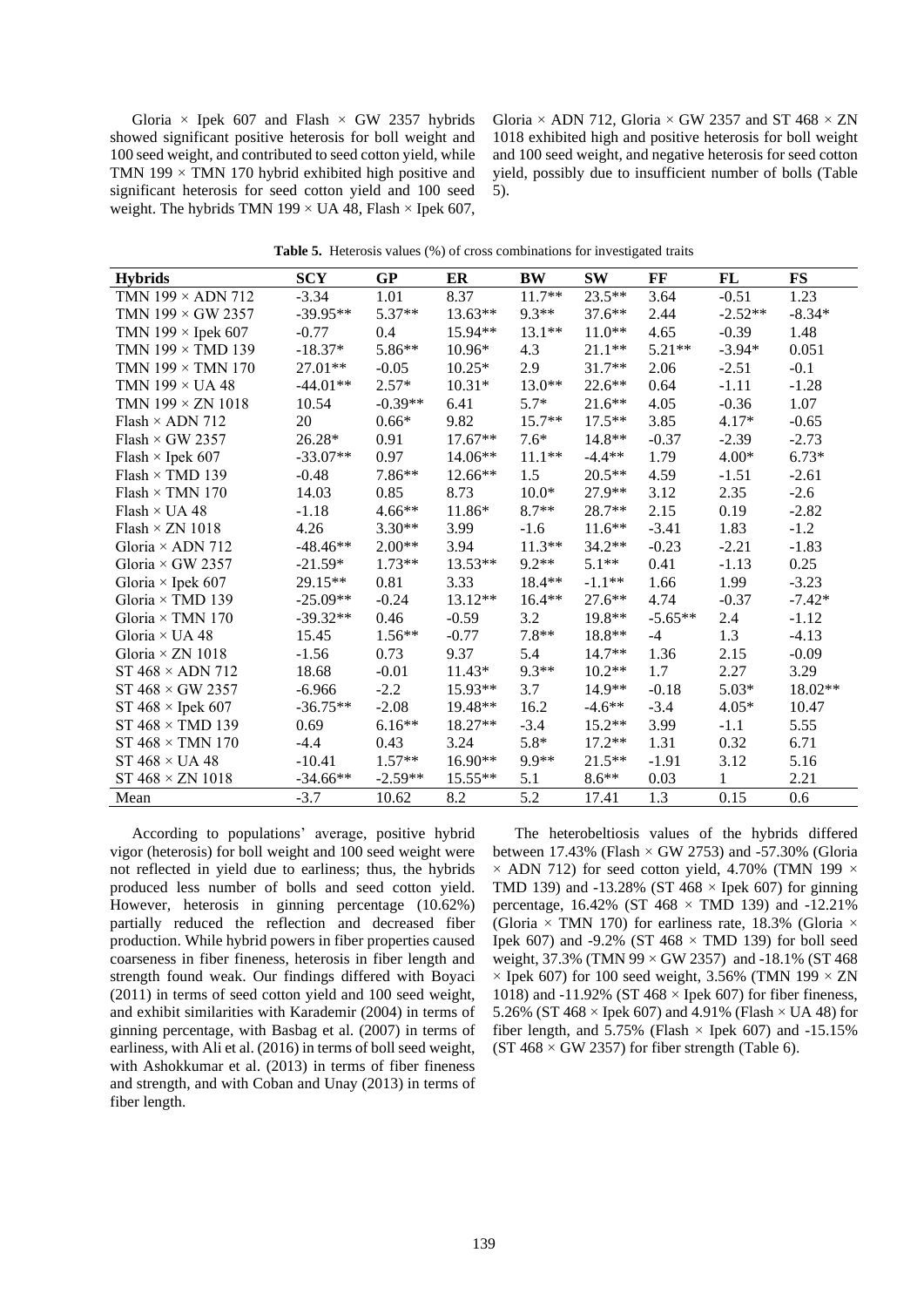Gloria  $\times$  Ipek 607 and Flash  $\times$  GW 2357 hybrids showed significant positive heterosis for boll weight and 100 seed weight, and contributed to seed cotton yield, while TMN 199  $\times$  TMN 170 hybrid exhibited high positive and significant heterosis for seed cotton yield and 100 seed weight. The hybrids TMN 199  $\times$  UA 48, Flash  $\times$  Ipek 607, Gloria  $\times$  ADN 712, Gloria  $\times$  GW 2357 and ST 468  $\times$  ZN 1018 exhibited high and positive heterosis for boll weight and 100 seed weight, and negative heterosis for seed cotton yield, possibly due to insufficient number of bolls (Table 5).

| <b>Hybrids</b>             | <b>SCY</b> | GP        | ER        | <b>BW</b> | <b>SW</b> | FF        | FL           | <b>FS</b> |
|----------------------------|------------|-----------|-----------|-----------|-----------|-----------|--------------|-----------|
| TMN $199 \times$ ADN 712   | $-3.34$    | 1.01      | 8.37      | $11.7**$  | $23.5**$  | 3.64      | $-0.51$      | 1.23      |
| TMN $199 \times$ GW 2357   | $-39.95**$ | $5.37**$  | 13.63**   | $9.3**$   | $37.6***$ | 2.44      | $-2.52**$    | $-8.34*$  |
| TMN $199 \times$ Ipek 607  | $-0.77$    | 0.4       | 15.94**   | 13.1**    | $11.0**$  | 4.65      | $-0.39$      | 1.48      |
| TMN $199 \times$ TMD $139$ | $-18.37*$  | 5.86**    | $10.96*$  | 4.3       | $21.1**$  | $5.21**$  | $-3.94*$     | 0.051     |
| TMN $199 \times$ TMN $170$ | 27.01**    | $-0.05$   | $10.25*$  | 2.9       | 31.7**    | 2.06      | $-2.51$      | $-0.1$    |
| TMN $199 \times UA48$      | $-44.01**$ | $2.57*$   | $10.31*$  | $13.0**$  | $22.6***$ | 0.64      | $-1.11$      | $-1.28$   |
| TMN $199 \times ZN$ $1018$ | 10.54      | $-0.39**$ | 6.41      | $5.7*$    | $21.6***$ | 4.05      | $-0.36$      | 1.07      |
| Flash $\times$ ADN 712     | 20         | $0.66*$   | 9.82      | $15.7**$  | $17.5***$ | 3.85      | $4.17*$      | $-0.65$   |
| $Flash \times GW$ 2357     | $26.28*$   | 0.91      | $17.67**$ | $7.6*$    | 14.8**    | $-0.37$   | $-2.39$      | $-2.73$   |
| Flash $\times$ Ipek 607    | $-33.07**$ | 0.97      | $14.06**$ | $11.1***$ | $-4.4**$  | 1.79      | $4.00*$      | $6.73*$   |
| $Flash \times TMD$ 139     | $-0.48$    | $7.86**$  | $12.66**$ | 1.5       | $20.5**$  | 4.59      | $-1.51$      | $-2.61$   |
| Flash $\times$ TMN 170     | 14.03      | 0.85      | 8.73      | $10.0*$   | 27.9**    | 3.12      | 2.35         | $-2.6$    |
| Flash $\times$ UA 48       | $-1.18$    | $4.66**$  | 11.86*    | $8.7**$   | 28.7**    | 2.15      | 0.19         | $-2.82$   |
| Flash $\times$ ZN 1018     | 4.26       | $3.30**$  | 3.99      | $-1.6$    | $11.6***$ | $-3.41$   | 1.83         | $-1.2$    |
| Gloria $\times$ ADN 712    | $-48.46**$ | $2.00**$  | 3.94      | $11.3**$  | $34.2**$  | $-0.23$   | $-2.21$      | $-1.83$   |
| Gloria $\times$ GW 2357    | $-21.59*$  | $1.73**$  | $13.53**$ | $9.2**$   | $5.1**$   | 0.41      | $-1.13$      | 0.25      |
| Gloria $\times$ Ipek 607   | 29.15**    | 0.81      | 3.33      | 18.4**    | $-1.1**$  | 1.66      | 1.99         | $-3.23$   |
| Gloria $\times$ TMD 139    | $-25.09**$ | $-0.24$   | 13.12**   | $16.4**$  | $27.6**$  | 4.74      | $-0.37$      | $-7.42*$  |
| Gloria $\times$ TMN 170    | $-39.32**$ | 0.46      | $-0.59$   | 3.2       | 19.8**    | $-5.65**$ | 2.4          | $-1.12$   |
| Gloria $\times$ UA 48      | 15.45      | $1.56**$  | $-0.77$   | $7.8**$   | 18.8**    | $-4$      | 1.3          | $-4.13$   |
| Gloria $\times$ ZN 1018    | $-1.56$    | 0.73      | 9.37      | 5.4       | $14.7**$  | 1.36      | 2.15         | $-0.09$   |
| ST $468 \times$ ADN 712    | 18.68      | $-0.01$   | 11.43*    | $9.3**$   | $10.2**$  | 1.7       | 2.27         | 3.29      |
| $ST 468 \times GW 2357$    | $-6.966$   | $-2.2$    | $15.93**$ | 3.7       | 14.9**    | $-0.18$   | $5.03*$      | $18.02**$ |
| ST $468 \times$ Ipek 607   | $-36.75**$ | $-2.08$   | 19.48**   | 16.2      | $-4.6**$  | $-3.4$    | $4.05*$      | 10.47     |
| ST $468 \times TMD$ 139    | 0.69       | $6.16**$  | 18.27**   | $-3.4$    | $15.2**$  | 3.99      | $-1.1$       | 5.55      |
| ST $468 \times TMN$ 170    | $-4.4$     | 0.43      | 3.24      | $5.8*$    | $17.2**$  | 1.31      | 0.32         | 6.71      |
| ST $468 \times UA$ 48      | $-10.41$   | $1.57**$  | $16.90**$ | 9.9**     | $21.5**$  | $-1.91$   | 3.12         | 5.16      |
| $ST 468 \times ZN 1018$    | $-34.66**$ | $-2.59**$ | $15.55**$ | 5.1       | $8.6**$   | 0.03      | $\mathbf{1}$ | 2.21      |
| Mean                       | $-3.7$     | 10.62     | 8.2       | 5.2       | 17.41     | 1.3       | 0.15         | 0.6       |

**Table 5.** Heterosis values (%) of cross combinations for investigated traits

According to populations' average, positive hybrid vigor (heterosis) for boll weight and 100 seed weight were not reflected in yield due to earliness; thus, the hybrids produced less number of bolls and seed cotton yield. However, heterosis in ginning percentage (10.62%) partially reduced the reflection and decreased fiber production. While hybrid powers in fiber properties caused coarseness in fiber fineness, heterosis in fiber length and strength found weak. Our findings differed with Boyaci (2011) in terms of seed cotton yield and 100 seed weight, and exhibit similarities with Karademir (2004) in terms of ginning percentage, with Basbag et al. (2007) in terms of earliness, with Ali et al. (2016) in terms of boll seed weight, with Ashokkumar et al. (2013) in terms of fiber fineness and strength, and with Coban and Unay (2013) in terms of fiber length.

The heterobeltiosis values of the hybrids differed between 17.43% (Flash  $\times$  GW 2753) and -57.30% (Gloria  $\times$  ADN 712) for seed cotton yield, 4.70% (TMN 199  $\times$ TMD 139) and -13.28% (ST 468  $\times$  Ipek 607) for ginning percentage,  $16.42\%$  (ST  $468 \times$  TMD 139) and  $-12.21\%$ (Gloria  $\times$  TMN 170) for earliness rate, 18.3% (Gloria  $\times$ Ipek 607) and -9.2% (ST 468  $\times$  TMD 139) for boll seed weight, 37.3% (TMN 99 × GW 2357) and -18.1% (ST 468  $\times$  Ipek 607) for 100 seed weight, 3.56% (TMN 199  $\times$  ZN 1018) and -11.92% (ST 468  $\times$  Ipek 607) for fiber fineness, 5.26% (ST 468  $\times$  Ipek 607) and 4.91% (Flash  $\times$  UA 48) for fiber length, and  $5.75\%$  (Flash  $\times$  Ipek 607) and -15.15% (ST 468  $\times$  GW 2357) for fiber strength (Table 6).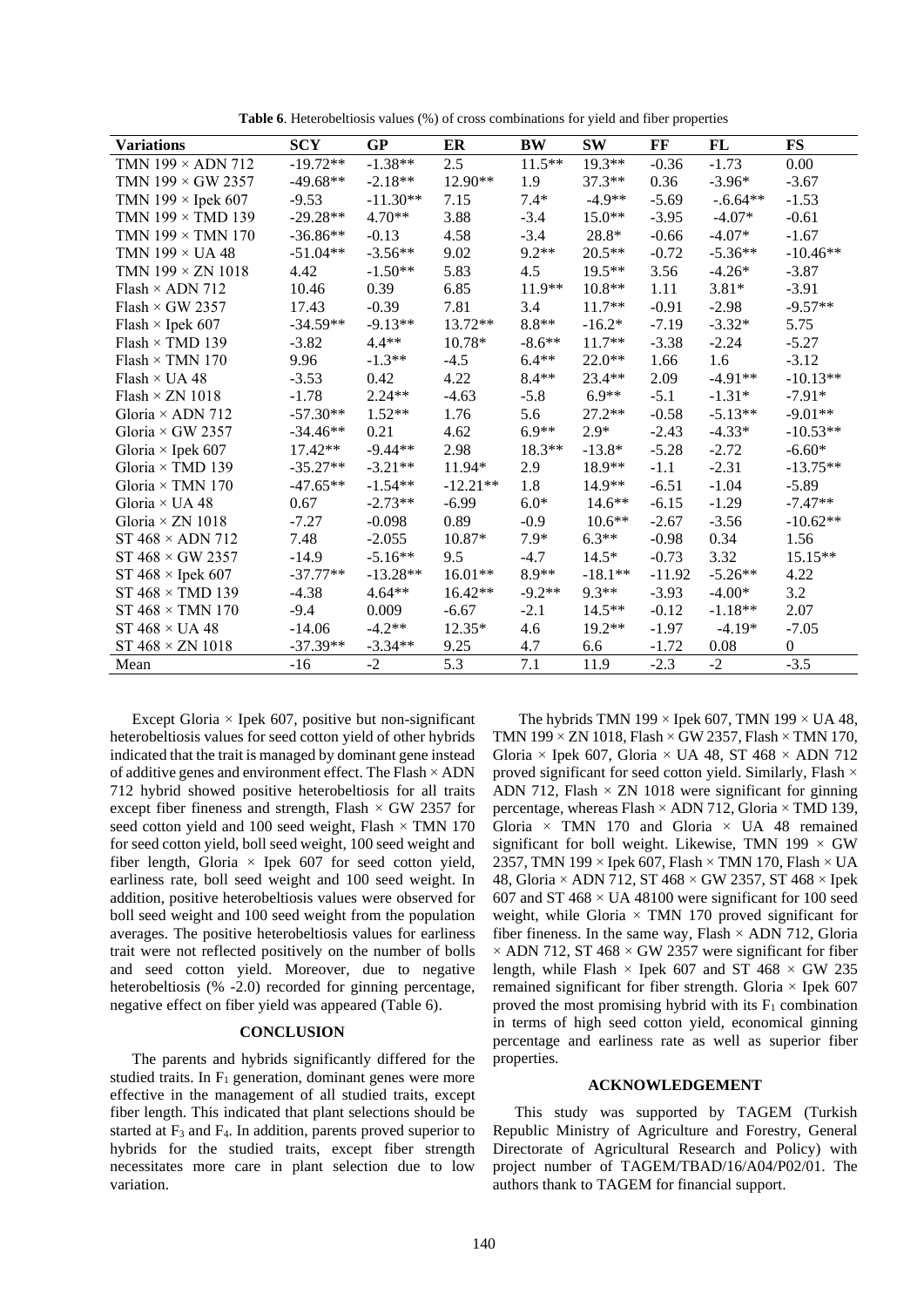| <b>Variations</b>              | <b>SCY</b> | <b>GP</b>  | ER         | <b>BW</b> | <b>SW</b> | FF       | <b>FL</b>  | <b>FS</b>    |
|--------------------------------|------------|------------|------------|-----------|-----------|----------|------------|--------------|
| TMN 199 × ADN 712              | $-19.72**$ | $-1.38**$  | 2.5        | $11.5***$ | 19.3**    | $-0.36$  | $-1.73$    | 0.00         |
| TMN $199 \times$ GW 2357       | $-49.68**$ | $-2.18**$  | 12.90**    | 1.9       | $37.3**$  | 0.36     | $-3.96*$   | $-3.67$      |
| TMN $199 \times$ Ipek 607      | $-9.53$    | $-11.30**$ | 7.15       | $7.4*$    | $-4.9**$  | $-5.69$  | $-.6.64**$ | $-1.53$      |
| TMN 199 × TMD 139              | $-29.28**$ | $4.70**$   | 3.88       | $-3.4$    | $15.0**$  | $-3.95$  | $-4.07*$   | $-0.61$      |
| TMN $199 \times$ TMN $170$     | $-36.86**$ | $-0.13$    | 4.58       | $-3.4$    | 28.8*     | $-0.66$  | $-4.07*$   | $-1.67$      |
| TMN $199 \times UA48$          | $-51.04**$ | $-3.56**$  | 9.02       | $9.2**$   | $20.5**$  | $-0.72$  | $-5.36**$  | $-10.46**$   |
| TMN $199 \times ZN$ 1018       | 4.42       | $-1.50**$  | 5.83       | 4.5       | $19.5**$  | 3.56     | $-4.26*$   | $-3.87$      |
| Flash $\times$ ADN 712         | 10.46      | 0.39       | 6.85       | 11.9**    | $10.8**$  | 1.11     | $3.81*$    | $-3.91$      |
| Flash $\times$ GW 2357         | 17.43      | $-0.39$    | 7.81       | 3.4       | $11.7**$  | $-0.91$  | $-2.98$    | $-9.57**$    |
| Flash $\times$ Ipek 607        | $-34.59**$ | $-9.13**$  | 13.72**    | $8.8**$   | $-16.2*$  | $-7.19$  | $-3.32*$   | 5.75         |
| $Flash \times TMD$ 139         | $-3.82$    | $4.4**$    | 10.78*     | $-8.6**$  | $11.7**$  | $-3.38$  | $-2.24$    | $-5.27$      |
| Flash $\times$ TMN 170         | 9.96       | $-1.3**$   | $-4.5$     | $6.4**$   | $22.0**$  | 1.66     | 1.6        | $-3.12$      |
| Flash $\times$ UA 48           | $-3.53$    | 0.42       | 4.22       | $8.4**$   | 23.4**    | 2.09     | $-4.91**$  | $-10.13**$   |
| Flash $\times$ ZN 1018         | $-1.78$    | $2.24**$   | $-4.63$    | $-5.8$    | $6.9**$   | $-5.1$   | $-1.31*$   | $-7.91*$     |
| Gloria $\times$ ADN 712        | $-57.30**$ | $1.52**$   | 1.76       | 5.6       | $27.2**$  | $-0.58$  | $-5.13**$  | $-9.01**$    |
| Gloria $\times$ GW 2357        | $-34.46**$ | 0.21       | 4.62       | $6.9**$   | $2.9*$    | $-2.43$  | $-4.33*$   | $-10.53**$   |
| Gloria $\times$ Ipek 607       | 17.42**    | $-9.44**$  | 2.98       | 18.3**    | $-13.8*$  | $-5.28$  | $-2.72$    | $-6.60*$     |
| Gloria × TMD 139               | $-35.27**$ | $-3.21**$  | 11.94*     | 2.9       | 18.9**    | $-1.1$   | $-2.31$    | $-13.75**$   |
| Gloria $\times$ TMN 170        | $-47.65**$ | $-1.54**$  | $-12.21**$ | 1.8       | $14.9**$  | $-6.51$  | $-1.04$    | $-5.89$      |
| Gloria $\times$ UA 48          | 0.67       | $-2.73**$  | $-6.99$    | $6.0*$    | $14.6**$  | $-6.15$  | $-1.29$    | $-7.47**$    |
| Gloria × ZN 1018               | $-7.27$    | $-0.098$   | 0.89       | $-0.9$    | $10.6**$  | $-2.67$  | $-3.56$    | $-10.62**$   |
| $ST 468 \times ADN 712$        | 7.48       | $-2.055$   | 10.87*     | $7.9*$    | $6.3**$   | $-0.98$  | 0.34       | 1.56         |
| $ST 468 \times GW 2357$        | $-14.9$    | $-5.16**$  | 9.5        | $-4.7$    | $14.5*$   | $-0.73$  | 3.32       | $15.15**$    |
| ST $468 \times$ Ipek $607$     | $-37.77**$ | $-13.28**$ | $16.01**$  | 8.9**     | $-18.1**$ | $-11.92$ | $-5.26**$  | 4.22         |
| $ST 468 \times TMD 139$        | $-4.38$    | $4.64**$   | $16.42**$  | $-9.2**$  | $9.3**$   | $-3.93$  | $-4.00*$   | 3.2          |
| ST $468 \times \text{TMN}$ 170 | $-9.4$     | 0.009      | $-6.67$    | $-2.1$    | $14.5**$  | $-0.12$  | $-1.18**$  | 2.07         |
| ST $468 \times UA$ 48          | $-14.06$   | $-4.2**$   | $12.35*$   | 4.6       | $19.2**$  | $-1.97$  | $-4.19*$   | $-7.05$      |
| ST $468 \times ZN$ 1018        | $-37.39**$ | $-3.34**$  | 9.25       | 4.7       | 6.6       | $-1.72$  | 0.08       | $\mathbf{0}$ |
| Mean                           | $-16$      | $-2$       | 5.3        | 7.1       | 11.9      | $-2.3$   | $-2$       | $-3.5$       |

**Table 6**. Heterobeltiosis values (%) of cross combinations for yield and fiber properties

Except Gloria  $\times$  Ipek 607, positive but non-significant heterobeltiosis values for seed cotton yield of other hybrids indicated that the trait is managed by dominant gene instead of additive genes and environment effect. The Flash × ADN 712 hybrid showed positive heterobeltiosis for all traits except fiber fineness and strength, Flash  $\times$  GW 2357 for seed cotton yield and 100 seed weight, Flash  $\times$  TMN 170 for seed cotton yield, boll seed weight, 100 seed weight and fiber length, Gloria  $\times$  Ipek 607 for seed cotton yield, earliness rate, boll seed weight and 100 seed weight. In addition, positive heterobeltiosis values were observed for boll seed weight and 100 seed weight from the population averages. The positive heterobeltiosis values for earliness trait were not reflected positively on the number of bolls and seed cotton yield. Moreover, due to negative heterobeltiosis (% -2.0) recorded for ginning percentage, negative effect on fiber yield was appeared (Table 6).

## **CONCLUSION**

The parents and hybrids significantly differed for the studied traits. In F<sub>1</sub> generation, dominant genes were more effective in the management of all studied traits, except fiber length. This indicated that plant selections should be started at  $F_3$  and  $F_4$ . In addition, parents proved superior to hybrids for the studied traits, except fiber strength necessitates more care in plant selection due to low variation.

The hybrids TMN 199  $\times$  Ipek 607, TMN 199  $\times$  UA 48, TMN 199  $\times$  ZN 1018, Flash  $\times$  GW 2357, Flash  $\times$  TMN 170, Gloria × Ipek 607, Gloria × UA 48, ST 468 × ADN 712 proved significant for seed cotton yield. Similarly, Flash × ADN 712, Flash  $\times$  ZN 1018 were significant for ginning percentage, whereas Flash  $\times$  ADN 712, Gloria  $\times$  TMD 139, Gloria  $\times$  TMN 170 and Gloria  $\times$  UA 48 remained significant for boll weight. Likewise, TMN 199  $\times$  GW 2357, TMN 199  $\times$  Ipek 607, Flash  $\times$  TMN 170, Flash  $\times$  UA 48, Gloria × ADN 712, ST 468 × GW 2357, ST 468 × Ipek 607 and ST 468  $\times$  UA 48100 were significant for 100 seed weight, while Gloria  $\times$  TMN 170 proved significant for fiber fineness. In the same way, Flash  $\times$  ADN 712, Gloria  $\times$  ADN 712, ST 468  $\times$  GW 2357 were significant for fiber length, while Flash  $\times$  Ipek 607 and ST 468  $\times$  GW 235 remained significant for fiber strength. Gloria  $\times$  Ipek 607 proved the most promising hybrid with its  $F_1$  combination in terms of high seed cotton yield, economical ginning percentage and earliness rate as well as superior fiber properties.

## **ACKNOWLEDGEMENT**

This study was supported by TAGEM (Turkish Republic Ministry of Agriculture and Forestry, General Directorate of Agricultural Research and Policy) with project number of TAGEM/TBAD/16/A04/P02/01. The authors thank to TAGEM for financial support.